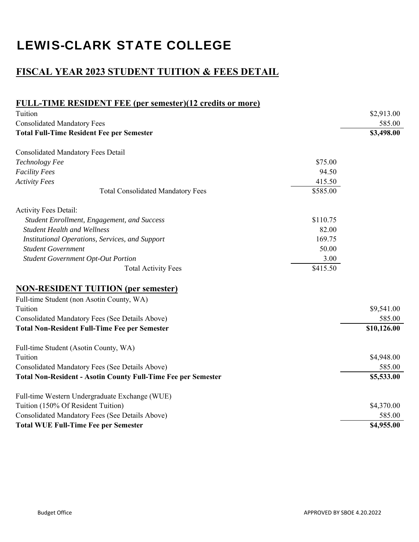## **FISCAL YEAR 2023 STUDENT TUITION & FEES DETAIL**

| <b>FULL-TIME RESIDENT FEE (per semester)(12 credits or more)</b>     |          |             |
|----------------------------------------------------------------------|----------|-------------|
| Tuition                                                              |          | \$2,913.00  |
| <b>Consolidated Mandatory Fees</b>                                   |          | 585.00      |
| <b>Total Full-Time Resident Fee per Semester</b>                     |          | \$3,498.00  |
| <b>Consolidated Mandatory Fees Detail</b>                            |          |             |
| Technology Fee                                                       | \$75.00  |             |
| <b>Facility Fees</b>                                                 | 94.50    |             |
| <b>Activity Fees</b>                                                 | 415.50   |             |
| <b>Total Consolidated Mandatory Fees</b>                             | \$585.00 |             |
| <b>Activity Fees Detail:</b>                                         |          |             |
| Student Enrollment, Engagement, and Success                          | \$110.75 |             |
| <b>Student Health and Wellness</b>                                   | 82.00    |             |
| Institutional Operations, Services, and Support                      | 169.75   |             |
| <b>Student Government</b>                                            | 50.00    |             |
| <b>Student Government Opt-Out Portion</b>                            | 3.00     |             |
| <b>Total Activity Fees</b>                                           | \$415.50 |             |
| <b>NON-RESIDENT TUITION (per semester)</b>                           |          |             |
| Full-time Student (non Asotin County, WA)                            |          |             |
| Tuition                                                              |          | \$9,541.00  |
| Consolidated Mandatory Fees (See Details Above)                      |          | 585.00      |
| <b>Total Non-Resident Full-Time Fee per Semester</b>                 |          | \$10,126.00 |
| Full-time Student (Asotin County, WA)                                |          |             |
| Tuition                                                              |          | \$4,948.00  |
| Consolidated Mandatory Fees (See Details Above)                      |          | 585.00      |
| <b>Total Non-Resident - Asotin County Full-Time Fee per Semester</b> |          | \$5,533.00  |
| Full-time Western Undergraduate Exchange (WUE)                       |          |             |
| Tuition (150% Of Resident Tuition)                                   |          | \$4,370.00  |
| Consolidated Mandatory Fees (See Details Above)                      |          | 585.00      |
| <b>Total WUE Full-Time Fee per Semester</b>                          |          | \$4,955.00  |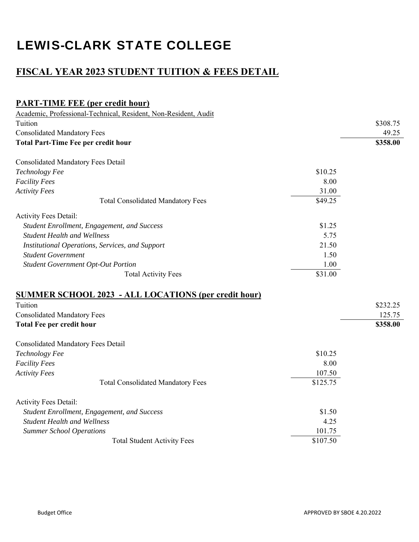## **FISCAL YEAR 2023 STUDENT TUITION & FEES DETAIL**

| <b>PART-TIME FEE (per credit hour)</b>                          |                     |          |
|-----------------------------------------------------------------|---------------------|----------|
| Academic, Professional-Technical, Resident, Non-Resident, Audit |                     |          |
| Tuition                                                         |                     | \$308.75 |
| <b>Consolidated Mandatory Fees</b>                              |                     | 49.25    |
| <b>Total Part-Time Fee per credit hour</b>                      |                     | \$358.00 |
| <b>Consolidated Mandatory Fees Detail</b>                       |                     |          |
| Technology Fee                                                  | \$10.25             |          |
| <b>Facility Fees</b>                                            | 8.00                |          |
| <b>Activity Fees</b>                                            | 31.00               |          |
| <b>Total Consolidated Mandatory Fees</b>                        | $\overline{$}49.25$ |          |
| Activity Fees Detail:                                           |                     |          |
| Student Enrollment, Engagement, and Success                     | \$1.25              |          |
| <b>Student Health and Wellness</b>                              | 5.75                |          |
| Institutional Operations, Services, and Support                 | 21.50               |          |
| <b>Student Government</b>                                       | 1.50                |          |
| <b>Student Government Opt-Out Portion</b>                       | 1.00                |          |
| <b>Total Activity Fees</b>                                      | \$31.00             |          |
| <b>SUMMER SCHOOL 2023 - ALL LOCATIONS (per credit hour)</b>     |                     |          |
| Tuition                                                         |                     | \$232.25 |
| <b>Consolidated Mandatory Fees</b>                              |                     | 125.75   |
| <b>Total Fee per credit hour</b>                                |                     | \$358.00 |
| <b>Consolidated Mandatory Fees Detail</b>                       |                     |          |
| Technology Fee                                                  | \$10.25             |          |
| <b>Facility Fees</b>                                            | 8.00                |          |
| <b>Activity Fees</b>                                            | 107.50              |          |
| <b>Total Consolidated Mandatory Fees</b>                        | \$125.75            |          |
| <b>Activity Fees Detail:</b>                                    |                     |          |
| Student Enrollment, Engagement, and Success                     | \$1.50              |          |
| <b>Student Health and Wellness</b>                              | 4.25                |          |
| <b>Summer School Operations</b>                                 | 101.75              |          |
| <b>Total Student Activity Fees</b>                              | \$107.50            |          |
|                                                                 |                     |          |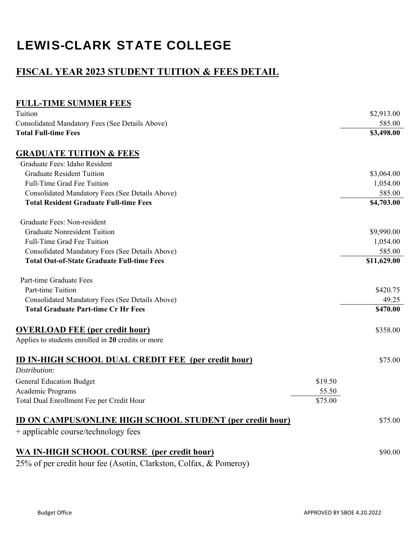## **FISCAL YEAR 2023 STUDENT TUITION & FEES DETAIL**

### **FULL-TIME SUMMER FEES**

| Tuition                                                           |         | \$2,913.00  |
|-------------------------------------------------------------------|---------|-------------|
| Consolidated Mandatory Fees (See Details Above)                   |         | 585.00      |
| <b>Total Full-time Fees</b>                                       |         | \$3,498.00  |
| <b>GRADUATE TUITION &amp; FEES</b>                                |         |             |
| Graduate Fees: Idaho Resident                                     |         |             |
| <b>Graduate Resident Tuition</b>                                  |         | \$3,064.00  |
| Full-Time Grad Fee Tuition                                        |         | 1,054.00    |
| Consolidated Mandatory Fees (See Details Above)                   |         | 585.00      |
| <b>Total Resident Graduate Full-time Fees</b>                     |         | \$4,703.00  |
| Graduate Fees: Non-resident                                       |         |             |
| <b>Graduate Nonresident Tuition</b>                               |         | \$9,990.00  |
| Full-Time Grad Fee Tuition                                        |         | 1,054.00    |
| Consolidated Mandatory Fees (See Details Above)                   |         | 585.00      |
| <b>Total Out-of-State Graduate Full-time Fees</b>                 |         | \$11,629.00 |
| Part-time Graduate Fees                                           |         |             |
| Part-time Tuition                                                 |         | \$420.75    |
| Consolidated Mandatory Fees (See Details Above)                   |         | 49.25       |
| <b>Total Graduate Part-time Cr Hr Fees</b>                        |         | \$470.00    |
| <b>OVERLOAD FEE (per credit hour)</b>                             |         | \$358.00    |
| Applies to students enrolled in 20 credits or more                |         |             |
| <b>ID IN-HIGH SCHOOL DUAL CREDIT FEE</b> (per credit hour)        |         | \$75.00     |
| Distribution:                                                     |         |             |
| <b>General Education Budget</b>                                   | \$19.50 |             |
| Academic Programs                                                 | 55.50   |             |
| Total Dual Enrollment Fee per Credit Hour                         | \$75.00 |             |
| <b>ID ON CAMPUS/ONLINE HIGH SCHOOL STUDENT (per credit hour)</b>  |         | \$75.00     |
| + applicable course/technology fees                               |         |             |
| <b>WA IN-HIGH SCHOOL COURSE</b> (per credit hour)                 |         | \$90.00     |
| 25% of per credit hour fee (Asotin, Clarkston, Colfax, & Pomeroy) |         |             |